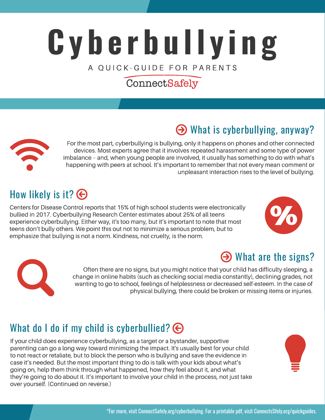# **C y b e r b u l l y i n g** A OUICK-GUIDE FOR PARENTS

## ConnectSafely

# What is cyberbullying, anyway?



For the most part, cyberbullying is bullying, only it happens on phones and other connected devices. Most experts agree that it involves repeated harassment and some type of power imbalance – and, when young people are involved, it usually has something to do with what's happening with peers at school. It's important to remember that not every mean comment or unpleasant interaction rises to the level of bullying.

# How likely is it?  $\bigodot$

Centers for Disease Control reports that 15% of high school students were electronically bullied in 2017. Cyberbullying Research Center estimates about 25% of all teens experience cyberbullying. Either way, it's too many, but it's important to note that most teens don't bully others. We point this out not to minimize a serious problem, but to emphasize that bullying is not a norm. Kindness, not cruelty, is the norm.







Often there are no signs, but you might notice that your child has difficulty sleeping, a change in online habits (such as checking social media constantly), declining grades, not wanting to go to school, feelings of helplessness or decreased self-esteem. In the case of physical bullying, there could be broken or missing items or injuries.

# What do I do if my child is cyberbullied?  $\bigodot$

If your child does experience cyberbullying, as a target or a bystander, supportive parenting can go a long way toward minimizing the impact. It's usually best for your child to not react or retaliate, but to block the person who is bullying and save the evidence in case it's needed. But the most important thing to do is talk with your kids about what's going on, help them think through what happened, how they feel about it, and what they're going to do about it. It's important to involve your child in the process, not just take over yourself. (Continued on reverse.)